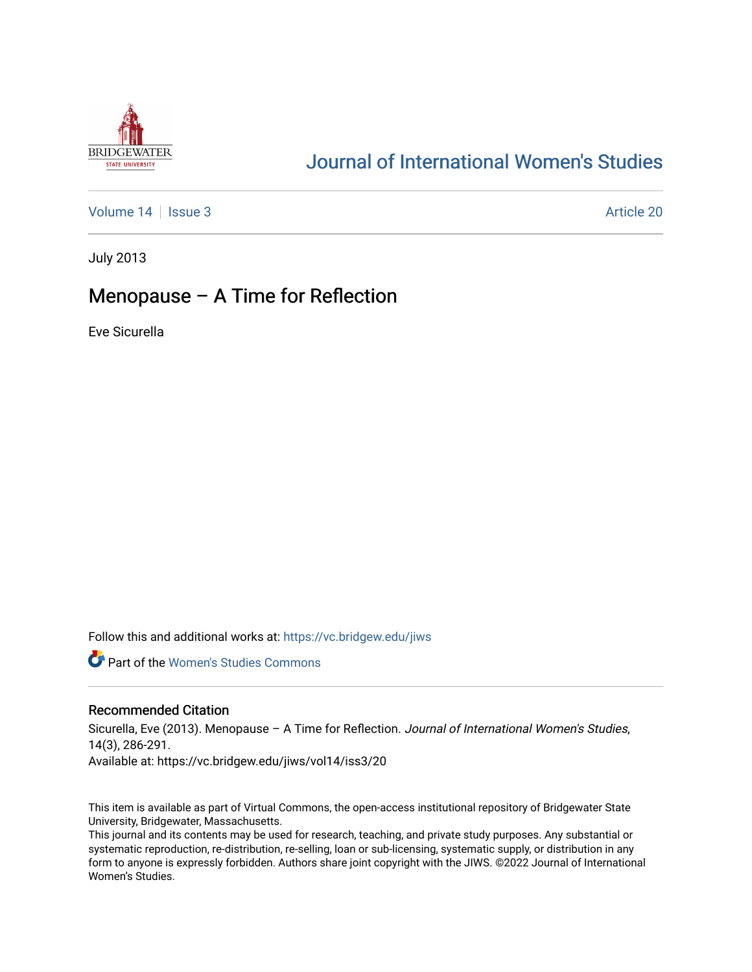

# [Journal of International Women's Studies](https://vc.bridgew.edu/jiws)

[Volume 14](https://vc.bridgew.edu/jiws/vol14) Sexue 3 Article 20

July 2013

# Menopause – A Time for Reflection

Eve Sicurella

Follow this and additional works at: [https://vc.bridgew.edu/jiws](https://vc.bridgew.edu/jiws?utm_source=vc.bridgew.edu%2Fjiws%2Fvol14%2Fiss3%2F20&utm_medium=PDF&utm_campaign=PDFCoverPages)

**C** Part of the Women's Studies Commons

#### Recommended Citation

Sicurella, Eve (2013). Menopause – A Time for Reflection. Journal of International Women's Studies, 14(3), 286-291. Available at: https://vc.bridgew.edu/jiws/vol14/iss3/20

This item is available as part of Virtual Commons, the open-access institutional repository of Bridgewater State University, Bridgewater, Massachusetts.

This journal and its contents may be used for research, teaching, and private study purposes. Any substantial or systematic reproduction, re-distribution, re-selling, loan or sub-licensing, systematic supply, or distribution in any form to anyone is expressly forbidden. Authors share joint copyright with the JIWS. ©2022 Journal of International Women's Studies.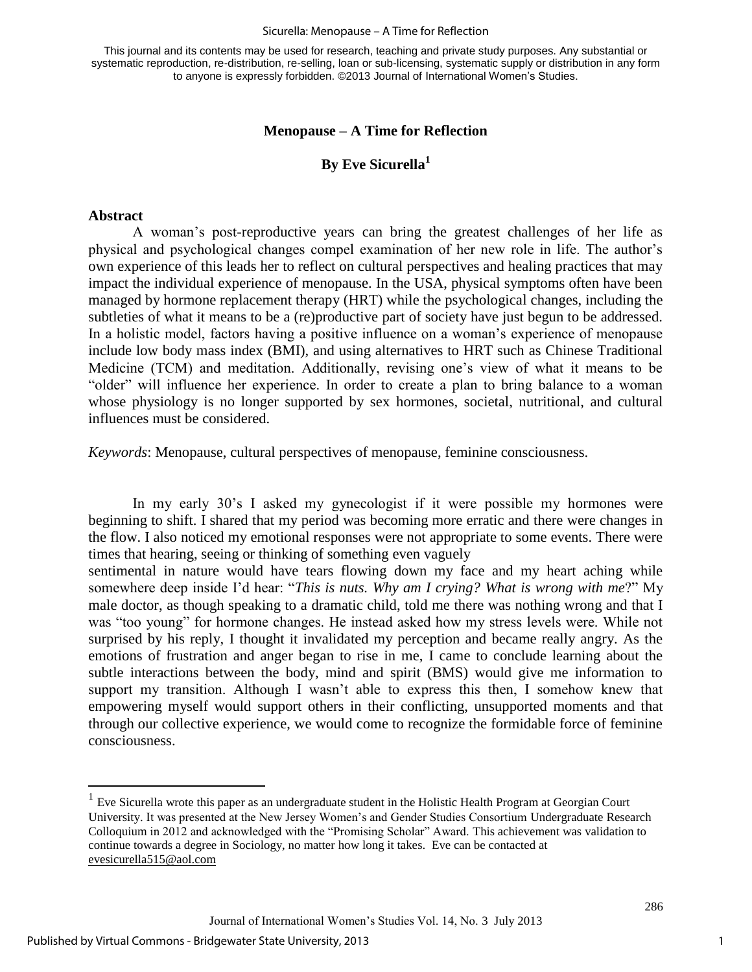This journal and its contents may be used for research, teaching and private study purposes. Any substantial or systematic reproduction, re-distribution, re-selling, loan or sub-licensing, systematic supply or distribution in any form to anyone is expressly forbidden. ©2013 Journal of International Women's Studies.

### **Menopause – A Time for Reflection**

## **By Eve Sicurella<sup>1</sup>**

#### **Abstract**

A woman's post-reproductive years can bring the greatest challenges of her life as physical and psychological changes compel examination of her new role in life. The author's own experience of this leads her to reflect on cultural perspectives and healing practices that may impact the individual experience of menopause. In the USA, physical symptoms often have been managed by hormone replacement therapy (HRT) while the psychological changes, including the subtleties of what it means to be a (re)productive part of society have just begun to be addressed. In a holistic model, factors having a positive influence on a woman's experience of menopause include low body mass index (BMI), and using alternatives to HRT such as Chinese Traditional Medicine (TCM) and meditation. Additionally, revising one's view of what it means to be "older" will influence her experience. In order to create a plan to bring balance to a woman whose physiology is no longer supported by sex hormones, societal, nutritional, and cultural influences must be considered.

*Keywords*: Menopause, cultural perspectives of menopause, feminine consciousness.

In my early 30's I asked my gynecologist if it were possible my hormones were beginning to shift. I shared that my period was becoming more erratic and there were changes in the flow. I also noticed my emotional responses were not appropriate to some events. There were times that hearing, seeing or thinking of something even vaguely

sentimental in nature would have tears flowing down my face and my heart aching while somewhere deep inside I'd hear: "*This is nuts. Why am I crying? What is wrong with me*?" My male doctor, as though speaking to a dramatic child, told me there was nothing wrong and that I was "too young" for hormone changes. He instead asked how my stress levels were. While not surprised by his reply, I thought it invalidated my perception and became really angry. As the emotions of frustration and anger began to rise in me, I came to conclude learning about the subtle interactions between the body, mind and spirit (BMS) would give me information to support my transition. Although I wasn't able to express this then, I somehow knew that empowering myself would support others in their conflicting, unsupported moments and that through our collective experience, we would come to recognize the formidable force of feminine consciousness.

 $\overline{a}$ 

 $<sup>1</sup>$  Eve Sicurella wrote this paper as an undergraduate student in the Holistic Health Program at Georgian Court</sup> University. It was presented at the New Jersey Women's and Gender Studies Consortium Undergraduate Research Colloquium in 2012 and acknowledged with the "Promising Scholar" Award. This achievement was validation to continue towards a degree in Sociology, no matter how long it takes. Eve can be contacted at [evesicurella515@aol.com](mailto:evesicurella515@aol.com)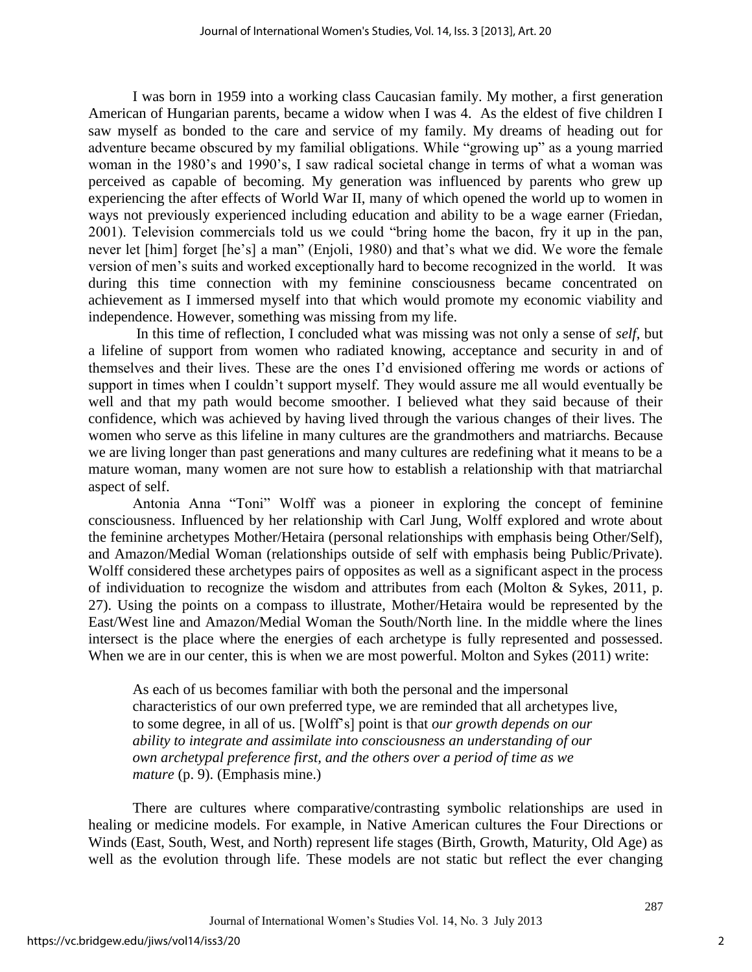I was born in 1959 into a working class Caucasian family. My mother, a first generation American of Hungarian parents, became a widow when I was 4. As the eldest of five children I saw myself as bonded to the care and service of my family. My dreams of heading out for adventure became obscured by my familial obligations. While "growing up" as a young married woman in the 1980's and 1990's, I saw radical societal change in terms of what a woman was perceived as capable of becoming. My generation was influenced by parents who grew up experiencing the after effects of World War II, many of which opened the world up to women in ways not previously experienced including education and ability to be a wage earner (Friedan, 2001). Television commercials told us we could "bring home the bacon, fry it up in the pan, never let [him] forget [he's] a man" (Enjoli, 1980) and that's what we did. We wore the female version of men's suits and worked exceptionally hard to become recognized in the world. It was during this time connection with my feminine consciousness became concentrated on achievement as I immersed myself into that which would promote my economic viability and independence. However, something was missing from my life.

 In this time of reflection, I concluded what was missing was not only a sense of *self*, but a lifeline of support from women who radiated knowing, acceptance and security in and of themselves and their lives. These are the ones I'd envisioned offering me words or actions of support in times when I couldn't support myself. They would assure me all would eventually be well and that my path would become smoother. I believed what they said because of their confidence, which was achieved by having lived through the various changes of their lives. The women who serve as this lifeline in many cultures are the grandmothers and matriarchs. Because we are living longer than past generations and many cultures are redefining what it means to be a mature woman, many women are not sure how to establish a relationship with that matriarchal aspect of self.

Antonia Anna "Toni" Wolff was a pioneer in exploring the concept of feminine consciousness. Influenced by her relationship with Carl Jung, Wolff explored and wrote about the feminine archetypes Mother/Hetaira (personal relationships with emphasis being Other/Self), and Amazon/Medial Woman (relationships outside of self with emphasis being Public/Private). Wolff considered these archetypes pairs of opposites as well as a significant aspect in the process of individuation to recognize the wisdom and attributes from each (Molton & Sykes, 2011, p. 27). Using the points on a compass to illustrate, Mother/Hetaira would be represented by the East/West line and Amazon/Medial Woman the South/North line. In the middle where the lines intersect is the place where the energies of each archetype is fully represented and possessed. When we are in our center, this is when we are most powerful. Molton and Sykes (2011) write:

As each of us becomes familiar with both the personal and the impersonal characteristics of our own preferred type, we are reminded that all archetypes live, to some degree, in all of us. [Wolff's] point is that *our growth depends on our ability to integrate and assimilate into consciousness an understanding of our own archetypal preference first, and the others over a period of time as we mature* (p. 9). (Emphasis mine.)

There are cultures where comparative/contrasting symbolic relationships are used in healing or medicine models. For example, in Native American cultures the Four Directions or Winds (East, South, West, and North) represent life stages (Birth, Growth, Maturity, Old Age) as well as the evolution through life. These models are not static but reflect the ever changing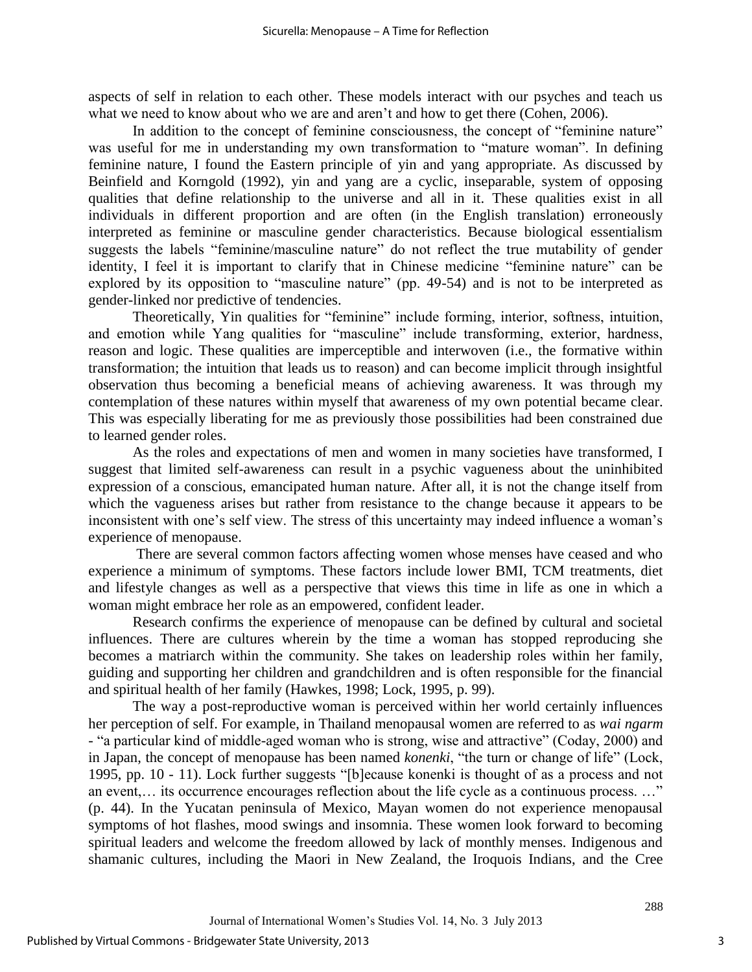aspects of self in relation to each other. These models interact with our psyches and teach us what we need to know about who we are and aren't and how to get there (Cohen, 2006).

In addition to the concept of feminine consciousness, the concept of "feminine nature" was useful for me in understanding my own transformation to "mature woman". In defining feminine nature, I found the Eastern principle of yin and yang appropriate. As discussed by Beinfield and Korngold (1992), yin and yang are a cyclic, inseparable, system of opposing qualities that define relationship to the universe and all in it. These qualities exist in all individuals in different proportion and are often (in the English translation) erroneously interpreted as feminine or masculine gender characteristics. Because biological essentialism suggests the labels "feminine/masculine nature" do not reflect the true mutability of gender identity, I feel it is important to clarify that in Chinese medicine "feminine nature" can be explored by its opposition to "masculine nature" (pp. 49-54) and is not to be interpreted as gender-linked nor predictive of tendencies.

Theoretically, Yin qualities for "feminine" include forming, interior, softness, intuition, and emotion while Yang qualities for "masculine" include transforming, exterior, hardness, reason and logic. These qualities are imperceptible and interwoven (i.e., the formative within transformation; the intuition that leads us to reason) and can become implicit through insightful observation thus becoming a beneficial means of achieving awareness. It was through my contemplation of these natures within myself that awareness of my own potential became clear. This was especially liberating for me as previously those possibilities had been constrained due to learned gender roles.

As the roles and expectations of men and women in many societies have transformed, I suggest that limited self-awareness can result in a psychic vagueness about the uninhibited expression of a conscious, emancipated human nature. After all, it is not the change itself from which the vagueness arises but rather from resistance to the change because it appears to be inconsistent with one's self view. The stress of this uncertainty may indeed influence a woman's experience of menopause.

There are several common factors affecting women whose menses have ceased and who experience a minimum of symptoms. These factors include lower BMI, TCM treatments, diet and lifestyle changes as well as a perspective that views this time in life as one in which a woman might embrace her role as an empowered, confident leader.

Research confirms the experience of menopause can be defined by cultural and societal influences. There are cultures wherein by the time a woman has stopped reproducing she becomes a matriarch within the community. She takes on leadership roles within her family, guiding and supporting her children and grandchildren and is often responsible for the financial and spiritual health of her family (Hawkes, 1998; Lock, 1995, p. 99).

The way a post-reproductive woman is perceived within her world certainly influences her perception of self. For example, in Thailand menopausal women are referred to as *wai ngarm* - "a particular kind of middle-aged woman who is strong, wise and attractive" (Coday, 2000) and in Japan, the concept of menopause has been named *konenki*, "the turn or change of life" (Lock, 1995, pp. 10 - 11). Lock further suggests "[b]ecause konenki is thought of as a process and not an event,… its occurrence encourages reflection about the life cycle as a continuous process. …" (p. 44). In the Yucatan peninsula of Mexico, Mayan women do not experience menopausal symptoms of hot flashes, mood swings and insomnia. These women look forward to becoming spiritual leaders and welcome the freedom allowed by lack of monthly menses. Indigenous and shamanic cultures, including the Maori in New Zealand, the Iroquois Indians, and the Cree

3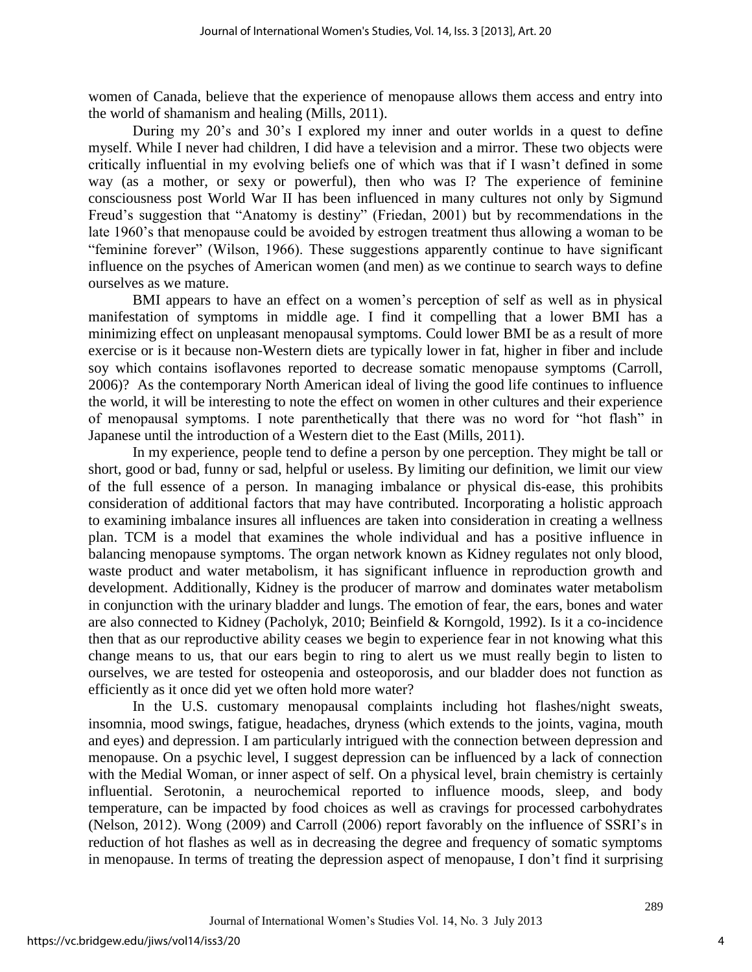women of Canada, believe that the experience of menopause allows them access and entry into the world of shamanism and healing (Mills, 2011).

During my 20's and 30's I explored my inner and outer worlds in a quest to define myself. While I never had children, I did have a television and a mirror. These two objects were critically influential in my evolving beliefs one of which was that if I wasn't defined in some way (as a mother, or sexy or powerful), then who was I? The experience of feminine consciousness post World War II has been influenced in many cultures not only by Sigmund Freud's suggestion that "Anatomy is destiny" (Friedan, 2001) but by recommendations in the late 1960's that menopause could be avoided by estrogen treatment thus allowing a woman to be "feminine forever" (Wilson, 1966). These suggestions apparently continue to have significant influence on the psyches of American women (and men) as we continue to search ways to define ourselves as we mature.

BMI appears to have an effect on a women's perception of self as well as in physical manifestation of symptoms in middle age. I find it compelling that a lower BMI has a minimizing effect on unpleasant menopausal symptoms. Could lower BMI be as a result of more exercise or is it because non-Western diets are typically lower in fat, higher in fiber and include soy which contains isoflavones reported to decrease somatic menopause symptoms (Carroll, 2006)? As the contemporary North American ideal of living the good life continues to influence the world, it will be interesting to note the effect on women in other cultures and their experience of menopausal symptoms. I note parenthetically that there was no word for "hot flash" in Japanese until the introduction of a Western diet to the East (Mills, 2011).

In my experience, people tend to define a person by one perception. They might be tall or short, good or bad, funny or sad, helpful or useless. By limiting our definition, we limit our view of the full essence of a person. In managing imbalance or physical dis-ease, this prohibits consideration of additional factors that may have contributed. Incorporating a holistic approach to examining imbalance insures all influences are taken into consideration in creating a wellness plan. TCM is a model that examines the whole individual and has a positive influence in balancing menopause symptoms. The organ network known as Kidney regulates not only blood, waste product and water metabolism, it has significant influence in reproduction growth and development. Additionally, Kidney is the producer of marrow and dominates water metabolism in conjunction with the urinary bladder and lungs. The emotion of fear, the ears, bones and water are also connected to Kidney (Pacholyk, 2010; Beinfield & Korngold, 1992). Is it a co-incidence then that as our reproductive ability ceases we begin to experience fear in not knowing what this change means to us, that our ears begin to ring to alert us we must really begin to listen to ourselves, we are tested for osteopenia and osteoporosis, and our bladder does not function as efficiently as it once did yet we often hold more water?

In the U.S. customary menopausal complaints including hot flashes/night sweats, insomnia, mood swings, fatigue, headaches, dryness (which extends to the joints, vagina, mouth and eyes) and depression. I am particularly intrigued with the connection between depression and menopause. On a psychic level, I suggest depression can be influenced by a lack of connection with the Medial Woman, or inner aspect of self. On a physical level, brain chemistry is certainly influential. Serotonin, a neurochemical reported to influence moods, sleep, and body temperature, can be impacted by food choices as well as cravings for processed carbohydrates (Nelson, 2012). Wong (2009) and Carroll (2006) report favorably on the influence of SSRI's in reduction of hot flashes as well as in decreasing the degree and frequency of somatic symptoms in menopause. In terms of treating the depression aspect of menopause, I don't find it surprising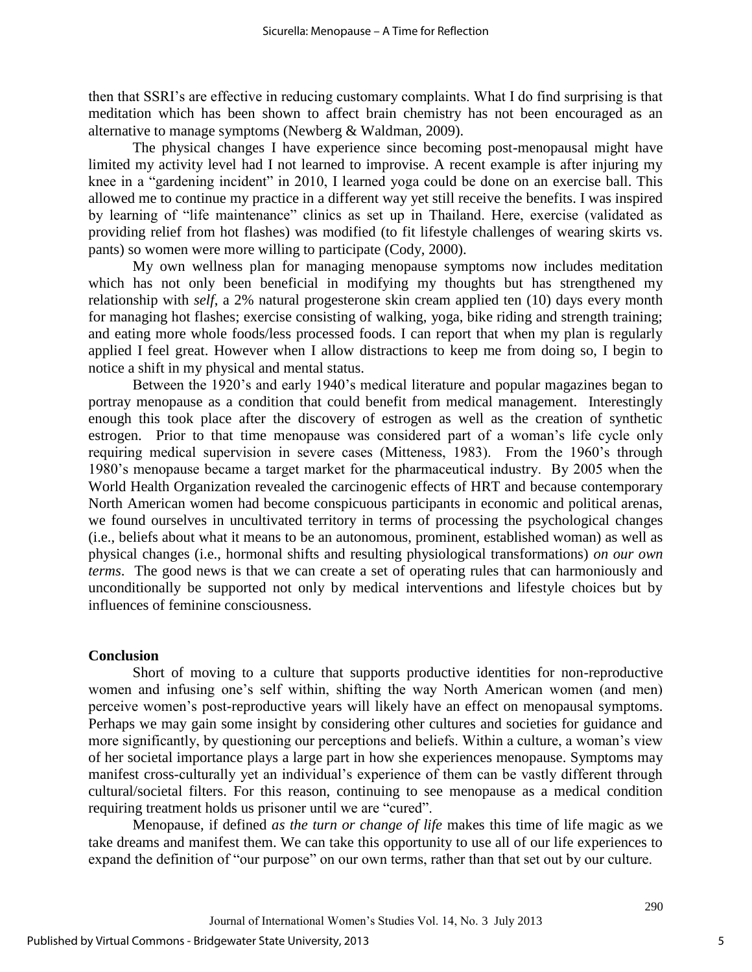then that SSRI's are effective in reducing customary complaints. What I do find surprising is that meditation which has been shown to affect brain chemistry has not been encouraged as an alternative to manage symptoms (Newberg & Waldman, 2009).

The physical changes I have experience since becoming post-menopausal might have limited my activity level had I not learned to improvise. A recent example is after injuring my knee in a "gardening incident" in 2010, I learned yoga could be done on an exercise ball. This allowed me to continue my practice in a different way yet still receive the benefits. I was inspired by learning of "life maintenance" clinics as set up in Thailand. Here, exercise (validated as providing relief from hot flashes) was modified (to fit lifestyle challenges of wearing skirts vs. pants) so women were more willing to participate (Cody, 2000).

My own wellness plan for managing menopause symptoms now includes meditation which has not only been beneficial in modifying my thoughts but has strengthened my relationship with *self*, a 2% natural progesterone skin cream applied ten (10) days every month for managing hot flashes; exercise consisting of walking, yoga, bike riding and strength training; and eating more whole foods/less processed foods. I can report that when my plan is regularly applied I feel great. However when I allow distractions to keep me from doing so, I begin to notice a shift in my physical and mental status.

Between the 1920's and early 1940's medical literature and popular magazines began to portray menopause as a condition that could benefit from medical management. Interestingly enough this took place after the discovery of estrogen as well as the creation of synthetic estrogen. Prior to that time menopause was considered part of a woman's life cycle only requiring medical supervision in severe cases (Mitteness, 1983). From the 1960's through 1980's menopause became a target market for the pharmaceutical industry. By 2005 when the World Health Organization revealed the carcinogenic effects of HRT and because contemporary North American women had become conspicuous participants in economic and political arenas, we found ourselves in uncultivated territory in terms of processing the psychological changes (i.e., beliefs about what it means to be an autonomous, prominent, established woman) as well as physical changes (i.e., hormonal shifts and resulting physiological transformations) *on our own terms*. The good news is that we can create a set of operating rules that can harmoniously and unconditionally be supported not only by medical interventions and lifestyle choices but by influences of feminine consciousness.

### **Conclusion**

Short of moving to a culture that supports productive identities for non-reproductive women and infusing one's self within, shifting the way North American women (and men) perceive women's post-reproductive years will likely have an effect on menopausal symptoms. Perhaps we may gain some insight by considering other cultures and societies for guidance and more significantly, by questioning our perceptions and beliefs. Within a culture, a woman's view of her societal importance plays a large part in how she experiences menopause. Symptoms may manifest cross-culturally yet an individual's experience of them can be vastly different through cultural/societal filters. For this reason, continuing to see menopause as a medical condition requiring treatment holds us prisoner until we are "cured".

Menopause, if defined *as the turn or change of life* makes this time of life magic as we take dreams and manifest them. We can take this opportunity to use all of our life experiences to expand the definition of "our purpose" on our own terms, rather than that set out by our culture.